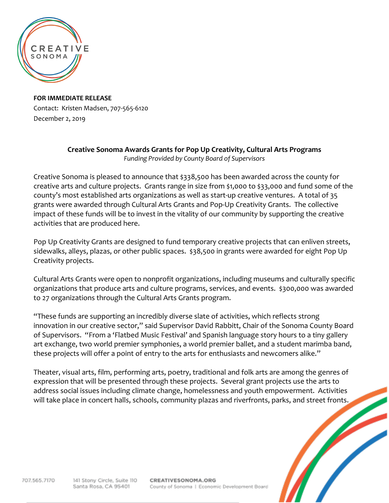

**FOR IMMEDIATE RELEASE** Contact: Kristen Madsen, 707-565-6120 December 2, 2019

## **Creative Sonoma Awards Grants for Pop Up Creativity, Cultural Arts Programs** *Funding Provided by County Board of Supervisors*

Creative Sonoma is pleased to announce that \$338,500 has been awarded across the county for creative arts and culture projects. Grants range in size from \$1,000 to \$33,000 and fund some of the county's most established arts organizations as well as start-up creative ventures. A total of 35 grants were awarded through Cultural Arts Grants and Pop-Up Creativity Grants. The collective impact of these funds will be to invest in the vitality of our community by supporting the creative activities that are produced here.

Pop Up Creativity Grants are designed to fund temporary creative projects that can enliven streets, sidewalks, alleys, plazas, or other public spaces. \$38,500 in grants were awarded for eight Pop Up Creativity projects.

Cultural Arts Grants were open to nonprofit organizations, including museums and culturally specific organizations that produce arts and culture programs, services, and events. \$300,000 was awarded to 27 organizations through the Cultural Arts Grants program.

"These funds are supporting an incredibly diverse slate of activities, which reflects strong innovation in our creative sector," said Supervisor David Rabbitt, Chair of the Sonoma County Board of Supervisors. "From a 'Flatbed Music Festival' and Spanish language story hours to a tiny gallery art exchange, two world premier symphonies, a world premier ballet, and a student marimba band, these projects will offer a point of entry to the arts for enthusiasts and newcomers alike."

Theater, visual arts, film, performing arts, poetry, traditional and folk arts are among the genres of expression that will be presented through these projects. Several grant projects use the arts to address social issues including climate change, homelessness and youth empowerment. Activities will take place in concert halls, schools, community plazas and riverfronts, parks, and street fronts.

707.565.7170

CREATIVESONOMA.ORG County of Sonoma | Economic Development Board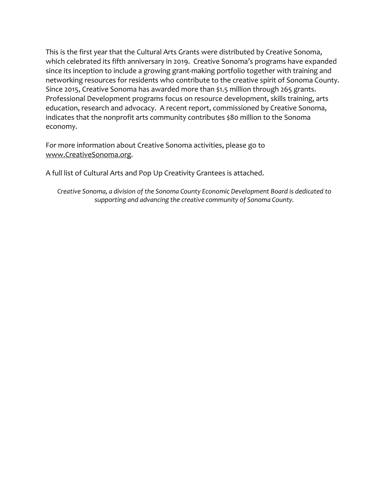This is the first year that the Cultural Arts Grants were distributed by Creative Sonoma, which celebrated its fifth anniversary in 2019. Creative Sonoma's programs have expanded since its inception to include a growing grant-making portfolio together with training and networking resources for residents who contribute to the creative spirit of Sonoma County. Since 2015, Creative Sonoma has awarded more than \$1.5 million through 265 grants. Professional Development programs focus on resource development, skills training, arts education, research and advocacy. A recent report, commissioned by Creative Sonoma, indicates that the nonprofit arts community contributes \$80 million to the Sonoma economy.

For more information about Creative Sonoma activities, please go to [www.CreativeSonoma.org.](http://www.creativesonoma.org/)

A full list of Cultural Arts and Pop Up Creativity Grantees is attached.

*Creative Sonoma, a division of the Sonoma County Economic Development Board is dedicated to supporting and advancing the creative community of Sonoma County.*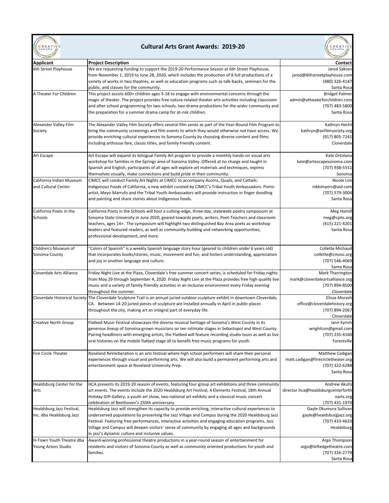

## **Cultural Arts Grant Awards: 2019-20**



| <b>Applicant</b>            | <b>Project Description</b>                                                                                                         | <b>Contact</b>                     |
|-----------------------------|------------------------------------------------------------------------------------------------------------------------------------|------------------------------------|
| 6th Street Playhouse        | We are requesting funding to support the 2019-20 Performance Season at 6th Street Playhouse,                                       | Jared Sakren                       |
|                             | from November 1, 2019 to June 28, 2020, which includes the production of 8 full productions of a                                   | jared@6thstreetplayhouse.com       |
|                             | variety of works in two theatres, as well as education programs such as talk-backs, seminars for the                               | (480) 326-4147                     |
|                             | public, and classes for the community.                                                                                             | Santa Rosa                         |
| A Theater For Children      | This project assists 600+ children ages 3-18 to engage with environmental concerns through the                                     | <b>Bridget Palmer</b>              |
|                             | magic of theater. The project provides free nature-related theater arts activities including classroom                             | admin@atheaterforchildren.com      |
|                             |                                                                                                                                    |                                    |
|                             | and after school programming for two schools, two drama productions for the wider community and                                    | (707) 483-5800                     |
|                             | the preparation for a summer drama camp for at-risk children.                                                                      | Santa Rosa                         |
| Alexander Valley Film       | The Alexander Valley Film Society offers several film series as part of the Year-Round Film Program to                             | Kathryn Hecht                      |
| Society                     | bring the community screenings and film events to which they would otherwise not have access. We                                   | kathryn@avfilmsociety.org          |
|                             | provide enriching cultural experiences to Sonoma County by choosing diverse content and films                                      | (917) 805-7241                     |
|                             | including arthouse fare, classic titles, and family-friendly content.                                                              | Cloverdale                         |
|                             |                                                                                                                                    |                                    |
| Art Escape                  | Art Escape will expand its bilingual Family Art program to provide a monthly hands-on visual arts                                  | Kate Ortolano                      |
|                             | workshop for families in the Springs area of Sonoma Valley. Offered at no charge and taught in                                     | kate@artescapesonoma.com           |
|                             | Spanish and English, participants of all ages will explore art materials and techniques, express                                   | (707) 938-5551                     |
|                             | themselves visually, make connections and build pride in their community.                                                          | Sonoma                             |
| California Indian Museum    | CIMCC will conduct Family Art Nights at CIMCC to accompany Acorns, Quails, and Cattails:                                           | Nicole Lim                         |
|                             |                                                                                                                                    |                                    |
| and Cultural Center         | Indigenous Foods of California, a new exhibit curated by CIMCC's Tribal Youth Ambassadors. Pomo                                    | nikkimyers@aol.com                 |
|                             | artist, Meyo Marrufo and the Tribal Youth Ambassadors will provide instruction in finger doodling                                  | (707) 579-3004                     |
|                             | and painting and share stories about Indigenous foods.                                                                             | Santa Rosa                         |
| California Poets in the     | California Poets in the Schools will host a cutting-edge, three-day, statewide poetry symposium at                                 | Meg Hamill                         |
| Schools                     | Sonoma State University in June 2020, geared towards poets, writers, Poet-Teachers and classroom                                   | meg@cpits.org                      |
|                             | teachers, ages 14+. The symposium will highlight two distinguished Bay Area poets as workshop                                      | (415) 221-4201                     |
|                             |                                                                                                                                    |                                    |
|                             | leaders and featured readers, as well as community-building and networking opportunities,                                          | Santa Rosa                         |
|                             | professional development, and more.                                                                                                |                                    |
| Children's Museum of        | "Colors of Spanish" is a weekly Spanish language story hour (geared to children under 6 years old)                                 | <b>Collette Michaud</b>            |
| Sonoma County               | that incorporates books/stories, music, movement and fun, and fosters understanding, appreciation                                  | collette@cmosc.org                 |
|                             | and joy in another language and culture.                                                                                           | (707) 546-4069                     |
|                             |                                                                                                                                    | Santa Rosa                         |
| Cloverdale Arts Alliance    | Friday Night Live at the Plaza, Cloverdale's free summer concert series, is scheduled for Friday nights                            | Mark Tharrington                   |
|                             |                                                                                                                                    |                                    |
|                             | from May 29 through September 4, 2020. Friday Night Live at the Plaza provides free high quality live                              | mark@cloverdaleartsalliance.org    |
|                             | music and a variety of family-friendly activities in an inclusive environment every Friday evening                                 | (707) 894-8500                     |
|                             | throughout the summer.                                                                                                             | Cloverdale                         |
|                             | Cloverdale Historical Society The Cloverdale Sculpture Trail is an annual juried outdoor sculpture exhibit in downtown Cloverdale, | Elissa Morash                      |
|                             | CA. Between 14-20 juried pieces of sculpture are installed annually in April in public places                                      | office@cloverdalehistory.org       |
|                             | throughout the city, making art an integral part of everyday life.                                                                 | (707) 894-2067                     |
|                             |                                                                                                                                    | Cloverdale                         |
| <b>Creative North Group</b> | Flatbed Music Festival showcases the diverse musical heritage of Sonoma's West County in its                                       | Jann Eyrich                        |
|                             | generous lineup of Sonoma-grown musicians on ten intimate stages in Sebastopol and West County.                                    | wrightcon@gmail.com                |
|                             | Pairing headliners with emerging artists, the Flatbed will feature recording studio tours as well as live                          | (707) 235-4160                     |
|                             | oral histories on the mobile flatbed stage all to benefit free music programs for youth.                                           | Forestville                        |
|                             |                                                                                                                                    |                                    |
| <b>Fire Circle Theater</b>  | Roseland ReVerberation is an arts festival where high school performers will share their personal                                  | Matthew Cadigan                    |
|                             | experiences through visual and performing arts. We will also build a permanent performing arts and                                 | matt.cadigan@firecircletheater.org |
|                             | entertainment space at Roseland University Prep.                                                                                   | (707) 322-6288                     |
|                             |                                                                                                                                    | Santa Rosa                         |
|                             | HCA presents its 2019-20 season of events, featuring four group art exhibitions and three community                                |                                    |
| Healdsburg Center for the   | art events. The events include the 2020 Healdsburg Art Festival, 4 Elements Festival, 18th Annual                                  | Andrew Akufo                       |
| Arts                        |                                                                                                                                    | director.hca@healdsburgcenterforth |
|                             | Holiday Gift Gallery, a youth art show, two national art exhibits and a classical music concert                                    | earts.org                          |
|                             | celebration of Beethoven's 250th anniversary.                                                                                      | (707) 431-1970                     |
| Healdsburg Jazz Festival,   | Healdsburg Jazz will strengthen its capacity to provide enriching, interactive cultural experiences to                             | Gayle Okumura Sullivan             |
| Inc. dba Healdsburg Jazz    | underserved populations by presenting the Jazz Village and Campus during the 2020 Healdsburg Jazz                                  | gayle@healdsburgjazz.org           |
|                             | Festival. Featuring free performances, interactive activities and engaging education programs, Jazz                                | (707) 433-4633                     |
|                             | Village and Campus will deepen visitors' sense of community by engaging all ages and backgrounds                                   | Healdsburg                         |
|                             | in jazz's dynamic culture and inclusive values.                                                                                    |                                    |
| H-Town Youth Theatre dba    | Award-winning professional theatre productions in a year-round season of entertainment for                                         | Argo Thompson                      |
| Young Actors Studio         | residents and visitors of Sonoma County as well as community oriented productions for youth and                                    | argo@leftedgetheatre.com           |
|                             | families.                                                                                                                          | (707) 326-2779                     |
|                             |                                                                                                                                    | Santa Rosa                         |
|                             |                                                                                                                                    |                                    |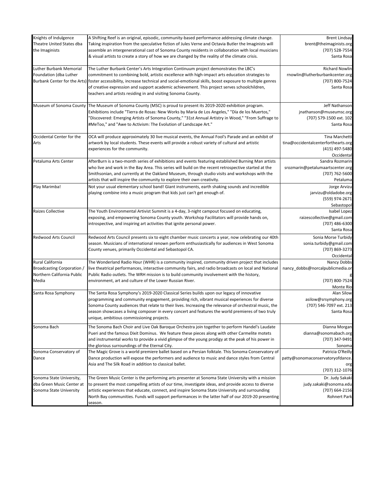| Knights of Indulgence<br>Theatre United States dba<br>the Imaginists                  | A Shifting Reef is an original, episodic, community-based performance addressing climate change.<br>Taking inspiration from the speculative fiction of Jules Verne and Octavia Butler the Imaginists will<br>assemble an intergenerational cast of Sonoma County residents in collaboration with local musicians<br>& visual artists to create a story of how we are changed by the reality of the climate crisis.                                                                               | <b>Brent Lindsay</b><br>brent@theimaginists.org<br>(707) 528-7554<br>Santa Rosa           |
|---------------------------------------------------------------------------------------|--------------------------------------------------------------------------------------------------------------------------------------------------------------------------------------------------------------------------------------------------------------------------------------------------------------------------------------------------------------------------------------------------------------------------------------------------------------------------------------------------|-------------------------------------------------------------------------------------------|
| Luther Burbank Memorial<br>Foundation (dba Luther                                     | The Luther Burbank Center's Arts Integration Continuum project demonstrates the LBC's<br>commitment to combining bold, artistic excellence with high-impact arts education strategies to<br>Burbank Center for the Arts) foster accessibility, increase technical and social-emotional skills, boost exposure to multiple genres<br>of creative expression and support academic achievement. This project serves schoolchildren,<br>teachers and artists residing in and visiting Sonoma County. | <b>Richard Nowlin</b><br>rnowlin@lutherburbankcenter.org<br>(707) 800-7524<br>Santa Rosa  |
| Museum of Sonoma County                                                               | The Museum of Sonoma County (MSC) is proud to present its 2019-2020 exhibition program.<br>Exhibitions include "Tierra de Rosas: New Works by Maria de Los Angeles," "Día de los Muertos,"<br>"Discovered: Emerging Artists of Sonoma County," "31st Annual Artistry in Wood," "From Suffrage to<br>#MeToo," and "Awe to Activism: The Evolution of Landscape Art."                                                                                                                              | Jeff Nathanson<br>jnathanson@museumsc.org<br>(707) 579-1500 ext. 102<br>Santa Rosa        |
| Occidental Center for the<br>Arts                                                     | OCA will produce approximately 30 live musical events, the Annual Fool's Parade and an exhibit of<br>artwork by local students. These events will provide a robust variety of cultural and artistic<br>experiences for the community.                                                                                                                                                                                                                                                            | Tina Marchetti<br>tina@occidentalcenterforthearts.org<br>(415) 497-5480<br>Occidental     |
| Petaluma Arts Center                                                                  | AfterBurn is a two-month series of exhibitions and events featuring established Burning Man artists<br>who live and work in the Bay Area. This series will build on the recent retrospective started at the<br>Smithsonian, and currently at the Oakland Museum, through studio visits and workshops with the<br>artists that will inspire the community to explore their own creativity.                                                                                                        | Sandra Rozmarin<br>srozmarin@petalumaartscenter.org<br>(707) 762-5600<br>Petaluma         |
| Play Marimba!                                                                         | Not your usual elementary school band! Giant instruments, earth shaking sounds and incredible<br>playing combine into a music program that kids just can't get enough of.                                                                                                                                                                                                                                                                                                                        | Jorge Arvizu<br>jarvizu@oldadobe.org<br>(559) 974-2671<br>Sebastopol                      |
| Raizes Collective                                                                     | The Youth Environmental Artivist Summit is a 4-day, 3-night campout focused on educating,<br>exposing, and empowering Sonoma County youth. Workshop Facilitators will provide hands on,<br>introspective, and inspiring art activities that ignite personal power.                                                                                                                                                                                                                               | Isabel Lopez<br>raizescollective@gmail.com<br>(707) 486-6300<br>Santa Rosa                |
| <b>Redwood Arts Council</b>                                                           | Redwood Arts Council presents six to eight chamber music concerts a year, now celebrating our 40th<br>season. Musicians of international renown perform enthusiastically for audiences in West Sonoma<br>County venues, primarily Occidental and Sebastopol CA.                                                                                                                                                                                                                                  | Sonia Morse Turbidy<br>sonia.turbidy@gmail.com<br>(707) 869-3273<br>Occidental            |
| Rural California<br>Broadcasting Corporation /<br>Northern California Public<br>Media | The Wonderland Radio Hour (WHR) is a community inspired, community driven project that includes<br>live theatrical performances, interactive community fairs, and radio broadcasts on local and National<br>Public Radio outlets. The WRH mission is to build community involvement with the history,<br>environment, art and culture of the Lower Russian River.                                                                                                                                | Nancy Dobbs<br>nancy_dobbs@norcalpublicmedia.or<br>(707) 800-7524                         |
| Santa Rosa Symphony                                                                   | The Santa Rosa Symphony's 2019-2020 Classical Series builds upon our legacy of innovative<br>programming and community engagement, providing rich, vibrant musical experiences for diverse<br>Sonoma County audiences that relate to their lives. Increasing the relevance of orchestral music, the<br>season showcases a living composer in every concert and features the world premieres of two truly<br>unique, ambitious commissioning projects.                                            | Monte Rio<br>Alan Silow<br>asilow@srsymphony.org<br>(707) 546-7097 ext. 213<br>Santa Rosa |
| Sonoma Bach                                                                           | The Sonoma Bach Choir and Live Oak Baroque Orchestra join together to perform Handel's Laudate<br>Pueri and the famous Dixit Dominus. We feature these pieces along with other Carmelite motets<br>and instrumental works to provide a vivid glimpse of the young prodigy at the peak of his power in<br>the glorious surroundings of the Eternal City.                                                                                                                                          | Dianna Morgan<br>dianna@sonomabach.org<br>(707) 347-9491<br>Sonoma                        |
| Sonoma Conservatory of<br>Dance                                                       | The Magic Grove is a world premiere ballet based on a Persian folktale. This Sonoma Conservatory of<br>Dance production will expose the performers and audience to music and dance styles from Central<br>Asia and The Silk Road in addition to classical ballet.                                                                                                                                                                                                                                | Patricia O'Reilly<br>patty@sonomaconservatoryofdance.<br>org<br>(707) 312-1076            |
| Sonoma State University,<br>dba Green Music Center at<br>Sonoma State University      | The Green Music Center is the performing arts presenter at Sonoma State University with a mission<br>to present the most compelling artists of our time, investigate ideas, and provide access to diverse<br>artistic experiences that educate, connect, and inspire Sonoma State University and surrounding<br>North Bay communities. Funds will support performances in the latter half of our 2019-20 presenting<br>season.                                                                   | Dr. Judy Sakaki<br>judy.sakaki@sonoma.edu<br>(707) 664-2156<br><b>Rohnert Park</b>        |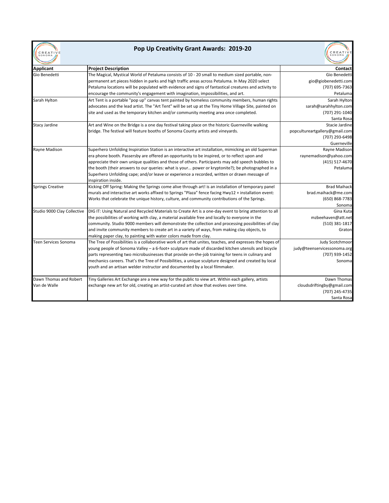|        | CREATIVE |
|--------|----------|
| SONOMA |          |
|        |          |

## **Pop Up Creativity Grant Awards: 2019-20**

CREATIVE

| <b>Applicant</b>            | <b>Project Description</b>                                                                                | <b>Contact</b>                 |  |  |
|-----------------------------|-----------------------------------------------------------------------------------------------------------|--------------------------------|--|--|
| Gio Benedetti               | The Magical, Mystical World of Petaluma consists of 10 - 20 small to medium sized portable, non-          | Gio Benedetti                  |  |  |
|                             | permanent art pieces hidden in parks and high traffic areas across Petaluma. In May 2020 select           | gio@giobenedetti.com           |  |  |
|                             | Petaluma locations will be populated with evidence and signs of fantastical creatures and activity to     | (707) 695-7363                 |  |  |
|                             | encourage the community's engagement with imagination, impossibilities, and art.                          | Petaluma                       |  |  |
| Sarah Hylton                | Art Tent is a portable "pop up" canvas tent painted by homeless community members, human rights           | Sarah Hylton                   |  |  |
|                             | advocates and the lead artist. The "Art Tent" will be set up at the Tiny Home Village Site, painted on    | sarah@sarahhylton.com          |  |  |
|                             | site and used as the temporary kitchen and/or community meeting area once completed.                      | (707) 291-1040                 |  |  |
|                             |                                                                                                           | Santa Rosa                     |  |  |
| <b>Stacy Jardine</b>        | Art and Wine on the Bridge is a one day festival taking place on the historic Guerneville walking         | Stacie Jardine                 |  |  |
|                             | bridge. The festival will feature booths of Sonoma County artists and vineyards.                          | popcultureartgallery@gmail.com |  |  |
|                             |                                                                                                           | (707) 293-6498                 |  |  |
|                             |                                                                                                           | Guerneville                    |  |  |
| Rayne Madison               | Superhero Unfolding Inspiration Station is an interactive art installation, mimicking an old Superman     | Rayne Madison                  |  |  |
|                             | era phone booth. Passersby are offered an opportunity to be inspired, or to reflect upon and              | raynemadison@yahoo.com         |  |  |
|                             | appreciate their own unique qualities and those of others. Participants may add speech bubbles to         | (415) 517-4670                 |  |  |
|                             | the booth (their answers to our queries: what is your power or kryptonite?); be photographed in a         | Petaluma                       |  |  |
|                             | Superhero Unfolding cape; and/or leave or experience a recorded, written or drawn message of              |                                |  |  |
|                             | inspiration inside.                                                                                       |                                |  |  |
| <b>Springs Creative</b>     | Kicking Off Spring: Making the Springs come alive through art! is an installation of temporary panel      | <b>Brad Maihack</b>            |  |  |
|                             | murals and interactive art works affixed to Springs "Plaza" fence facing Hwy12 + installation event:      | brad.maihack@me.com            |  |  |
|                             | Works that celebrate the unique history, culture, and community contributions of the Springs.             | (650) 868-7783                 |  |  |
|                             |                                                                                                           | Sonoma                         |  |  |
| Studio 9000 Clay Collective | DIG IT: Using Natural and Recycled Materials to Create Art is a one-day event to bring attention to all   | Gina Kuta                      |  |  |
|                             | the possibilities of working with clay, a material available free and locally to everyone in the          | mzbeehaven@att.net             |  |  |
|                             | community. Studio 9000 members will demonstrate the collection and processing possibilities of clay       | (510) 381-1817                 |  |  |
|                             | and invite community members to create art in a variety of ways, from making clay objects, to             | Graton                         |  |  |
|                             | making paper clay, to painting with water colors made from clay.                                          |                                |  |  |
| Teen Services Sonoma        | The Tree of Possibilities is a collaborative work of art that unites, teaches, and expresses the hopes of | Judy Scotchmoor                |  |  |
|                             | young people of Sonoma Valley - a 6-foot+ sculpture made of discarded kitchen utensils and bicycle        | judy@teenservicessonoma.org    |  |  |
|                             | parts representing two microbusinesses that provide on-the-job training for teens in culinary and         | (707) 939-1452                 |  |  |
|                             | mechanics careers. That's the Tree of Possibilities, a unique sculpture designed and created by local     | Sonoma                         |  |  |
|                             | youth and an artisan welder instructor and documented by a local filmmaker.                               |                                |  |  |
| Dawn Thomas and Robert      | Tiny Galleries Art Exchange are a new way for the public to view art. Within each gallery, artists        | Dawn Thomas                    |  |  |
| Van de Walle                | exchange new art for old, creating an artist-curated art show that evolves over time.                     | cloudsdriftingby@gmail.com     |  |  |
|                             |                                                                                                           | (707) 245-4735                 |  |  |
|                             |                                                                                                           | Santa Rosa                     |  |  |